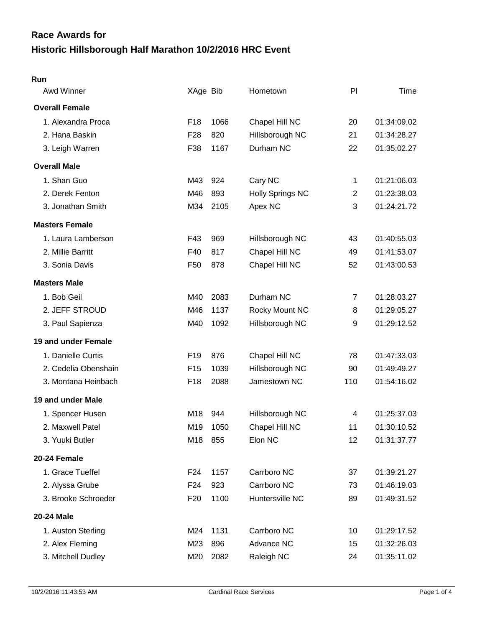# **Historic Hillsborough Half Marathon 10/2/2016 HRC Event Race Awards for**

#### **Run**

| Awd Winner            | XAge Bib        |      | Hometown                | PI             | Time        |
|-----------------------|-----------------|------|-------------------------|----------------|-------------|
| <b>Overall Female</b> |                 |      |                         |                |             |
| 1. Alexandra Proca    | F <sub>18</sub> | 1066 | Chapel Hill NC          | 20             | 01:34:09.02 |
| 2. Hana Baskin        | F <sub>28</sub> | 820  | Hillsborough NC         | 21             | 01:34:28.27 |
| 3. Leigh Warren       | F38             | 1167 | Durham NC               | 22             | 01:35:02.27 |
| <b>Overall Male</b>   |                 |      |                         |                |             |
| 1. Shan Guo           | M43             | 924  | Cary NC                 | 1              | 01:21:06.03 |
| 2. Derek Fenton       | M46             | 893  | <b>Holly Springs NC</b> | $\overline{2}$ | 01:23:38.03 |
| 3. Jonathan Smith     | M34             | 2105 | Apex NC                 | 3              | 01:24:21.72 |
| <b>Masters Female</b> |                 |      |                         |                |             |
| 1. Laura Lamberson    | F43             | 969  | Hillsborough NC         | 43             | 01:40:55.03 |
| 2. Millie Barritt     | F40             | 817  | Chapel Hill NC          | 49             | 01:41:53.07 |
| 3. Sonia Davis        | F <sub>50</sub> | 878  | Chapel Hill NC          | 52             | 01:43:00.53 |
| <b>Masters Male</b>   |                 |      |                         |                |             |
| 1. Bob Geil           | M40             | 2083 | Durham NC               | 7              | 01:28:03.27 |
| 2. JEFF STROUD        | M46             | 1137 | Rocky Mount NC          | 8              | 01:29:05.27 |
| 3. Paul Sapienza      | M40             | 1092 | Hillsborough NC         | 9              | 01:29:12.52 |
| 19 and under Female   |                 |      |                         |                |             |
| 1. Danielle Curtis    | F19             | 876  | Chapel Hill NC          | 78             | 01:47:33.03 |
| 2. Cedelia Obenshain  | F <sub>15</sub> | 1039 | Hillsborough NC         | 90             | 01:49:49.27 |
| 3. Montana Heinbach   | F <sub>18</sub> | 2088 | Jamestown NC            | 110            | 01:54:16.02 |
| 19 and under Male     |                 |      |                         |                |             |
| 1. Spencer Husen      | M18             | 944  | Hillsborough NC         | 4              | 01:25:37.03 |
| 2. Maxwell Patel      | M19             | 1050 | Chapel Hill NC          | 11             | 01:30:10.52 |
| 3. Yuuki Butler       | M18             | 855  | Elon NC                 | 12             | 01:31:37.77 |
| 20-24 Female          |                 |      |                         |                |             |
| 1. Grace Tueffel      | F <sub>24</sub> | 1157 | Carrboro NC             | 37             | 01:39:21.27 |
| 2. Alyssa Grube       | F <sub>24</sub> | 923  | Carrboro NC             | 73             | 01:46:19.03 |
| 3. Brooke Schroeder   | F <sub>20</sub> | 1100 | Huntersville NC         | 89             | 01:49:31.52 |
| 20-24 Male            |                 |      |                         |                |             |
| 1. Auston Sterling    | M24             | 1131 | Carrboro NC             | 10             | 01:29:17.52 |
| 2. Alex Fleming       | M23             | 896  | Advance NC              | 15             | 01:32:26.03 |
| 3. Mitchell Dudley    | M20             | 2082 | Raleigh NC              | 24             | 01:35:11.02 |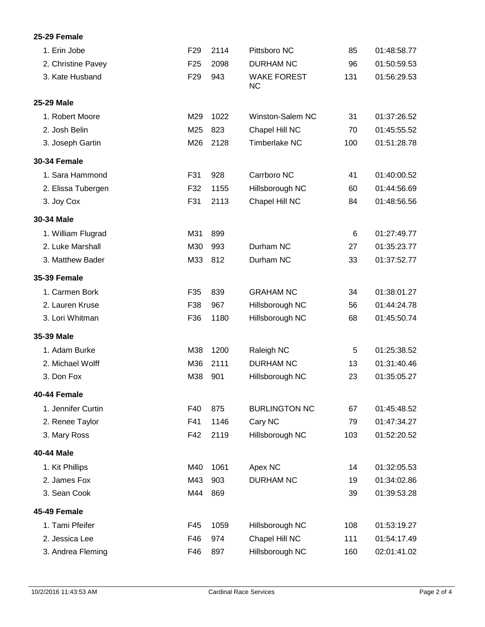## **25-29 Female**

| 1. Erin Jobe        | F <sub>29</sub> | 2114 | Pittsboro NC                    | 85  | 01:48:58.77 |
|---------------------|-----------------|------|---------------------------------|-----|-------------|
| 2. Christine Pavey  | F <sub>25</sub> | 2098 | <b>DURHAM NC</b>                | 96  | 01:50:59.53 |
| 3. Kate Husband     | F <sub>29</sub> | 943  | <b>WAKE FOREST</b><br><b>NC</b> | 131 | 01:56:29.53 |
| 25-29 Male          |                 |      |                                 |     |             |
| 1. Robert Moore     | M29             | 1022 | Winston-Salem NC                | 31  | 01:37:26.52 |
| 2. Josh Belin       | M25             | 823  | Chapel Hill NC                  | 70  | 01:45:55.52 |
| 3. Joseph Gartin    | M26             | 2128 | <b>Timberlake NC</b>            | 100 | 01:51:28.78 |
| <b>30-34 Female</b> |                 |      |                                 |     |             |
| 1. Sara Hammond     | F31             | 928  | Carrboro NC                     | 41  | 01:40:00.52 |
| 2. Elissa Tubergen  | F32             | 1155 | Hillsborough NC                 | 60  | 01:44:56.69 |
| 3. Joy Cox          | F31             | 2113 | Chapel Hill NC                  | 84  | 01:48:56.56 |
| 30-34 Male          |                 |      |                                 |     |             |
| 1. William Flugrad  | M31             | 899  |                                 | 6   | 01:27:49.77 |
| 2. Luke Marshall    | M30             | 993  | Durham NC                       | 27  | 01:35:23.77 |
| 3. Matthew Bader    | M33             | 812  | Durham NC                       | 33  | 01:37:52.77 |
| <b>35-39 Female</b> |                 |      |                                 |     |             |
| 1. Carmen Bork      | F35             | 839  | <b>GRAHAM NC</b>                | 34  | 01:38:01.27 |
| 2. Lauren Kruse     | F38             | 967  | Hillsborough NC                 | 56  | 01:44:24.78 |
| 3. Lori Whitman     | F36             | 1180 | Hillsborough NC                 | 68  | 01:45:50.74 |
| 35-39 Male          |                 |      |                                 |     |             |
| 1. Adam Burke       | M38             | 1200 | Raleigh NC                      | 5   | 01:25:38.52 |
| 2. Michael Wolff    | M36             | 2111 | <b>DURHAM NC</b>                | 13  | 01:31:40.46 |
| 3. Don Fox          | M38             | 901  | Hillsborough NC                 | 23  | 01:35:05.27 |
| 40-44 Female        |                 |      |                                 |     |             |
| 1. Jennifer Curtin  | F40             | 875  | <b>BURLINGTON NC</b>            | 67  | 01:45:48.52 |
| 2. Renee Taylor     | F41             | 1146 | Cary NC                         | 79  | 01:47:34.27 |
| 3. Mary Ross        | F42             | 2119 | Hillsborough NC                 | 103 | 01:52:20.52 |
| 40-44 Male          |                 |      |                                 |     |             |
| 1. Kit Phillips     | M40             | 1061 | Apex NC                         | 14  | 01:32:05.53 |
| 2. James Fox        | M43             | 903  | <b>DURHAM NC</b>                | 19  | 01:34:02.86 |
| 3. Sean Cook        | M44             | 869  |                                 | 39  | 01:39:53.28 |
| 45-49 Female        |                 |      |                                 |     |             |
| 1. Tami Pfeifer     | F45             | 1059 | Hillsborough NC                 | 108 | 01:53:19.27 |
| 2. Jessica Lee      | F46             | 974  | Chapel Hill NC                  | 111 | 01:54:17.49 |
| 3. Andrea Fleming   | F46             | 897  | Hillsborough NC                 | 160 | 02:01:41.02 |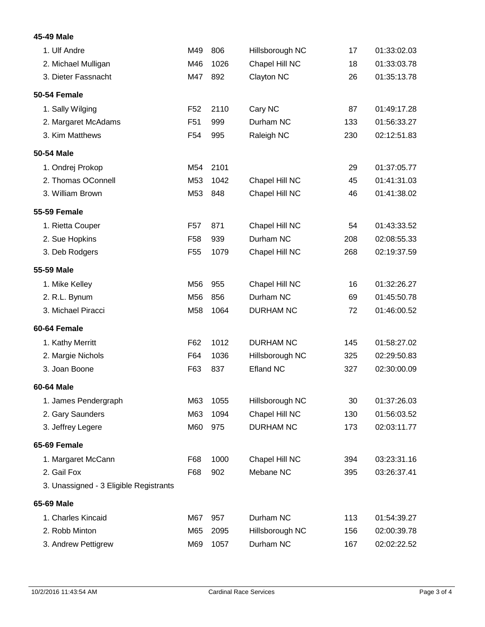## **45-49 Male**

| 1. Ulf Andre                           | M49             | 806  | Hillsborough NC  | 17  | 01:33:02.03 |
|----------------------------------------|-----------------|------|------------------|-----|-------------|
| 2. Michael Mulligan                    | M46             | 1026 | Chapel Hill NC   | 18  | 01:33:03.78 |
| 3. Dieter Fassnacht                    | M47             | 892  | Clayton NC       | 26  | 01:35:13.78 |
| 50-54 Female                           |                 |      |                  |     |             |
| 1. Sally Wilging                       | F <sub>52</sub> | 2110 | Cary NC          | 87  | 01:49:17.28 |
| 2. Margaret McAdams                    | F <sub>51</sub> | 999  | Durham NC        | 133 | 01:56:33.27 |
| 3. Kim Matthews                        | F <sub>54</sub> | 995  | Raleigh NC       | 230 | 02:12:51.83 |
| 50-54 Male                             |                 |      |                  |     |             |
| 1. Ondrej Prokop                       | M54             | 2101 |                  | 29  | 01:37:05.77 |
| 2. Thomas OConnell                     | M53             | 1042 | Chapel Hill NC   | 45  | 01:41:31.03 |
| 3. William Brown                       | M53             | 848  | Chapel Hill NC   | 46  | 01:41:38.02 |
| <b>55-59 Female</b>                    |                 |      |                  |     |             |
| 1. Rietta Couper                       | F <sub>57</sub> | 871  | Chapel Hill NC   | 54  | 01:43:33.52 |
| 2. Sue Hopkins                         | F <sub>58</sub> | 939  | Durham NC        | 208 | 02:08:55.33 |
| 3. Deb Rodgers                         | F <sub>55</sub> | 1079 | Chapel Hill NC   | 268 | 02:19:37.59 |
| 55-59 Male                             |                 |      |                  |     |             |
| 1. Mike Kelley                         | M56             | 955  | Chapel Hill NC   | 16  | 01:32:26.27 |
| 2. R.L. Bynum                          | M56             | 856  | Durham NC        | 69  | 01:45:50.78 |
| 3. Michael Piracci                     | M58             | 1064 | <b>DURHAM NC</b> | 72  | 01:46:00.52 |
| 60-64 Female                           |                 |      |                  |     |             |
| 1. Kathy Merritt                       | F62             | 1012 | <b>DURHAM NC</b> | 145 | 01:58:27.02 |
| 2. Margie Nichols                      | F64             | 1036 | Hillsborough NC  | 325 | 02:29:50.83 |
| 3. Joan Boone                          | F63             | 837  | <b>Efland NC</b> | 327 | 02:30:00.09 |
| 60-64 Male                             |                 |      |                  |     |             |
| 1. James Pendergraph                   | M63             | 1055 | Hillsborough NC  | 30  | 01:37:26.03 |
| 2. Gary Saunders                       | M63             | 1094 | Chapel Hill NC   | 130 | 01:56:03.52 |
| 3. Jeffrey Legere                      | M60             | 975  | <b>DURHAM NC</b> | 173 | 02:03:11.77 |
| 65-69 Female                           |                 |      |                  |     |             |
| 1. Margaret McCann                     | F68             | 1000 | Chapel Hill NC   | 394 | 03:23:31.16 |
| 2. Gail Fox                            | F68             | 902  | Mebane NC        | 395 | 03:26:37.41 |
| 3. Unassigned - 3 Eligible Registrants |                 |      |                  |     |             |
| 65-69 Male                             |                 |      |                  |     |             |
| 1. Charles Kincaid                     | M67             | 957  | Durham NC        | 113 | 01:54:39.27 |
| 2. Robb Minton                         | M65             | 2095 | Hillsborough NC  | 156 | 02:00:39.78 |
| 3. Andrew Pettigrew                    | M69             | 1057 | Durham NC        | 167 | 02:02:22.52 |